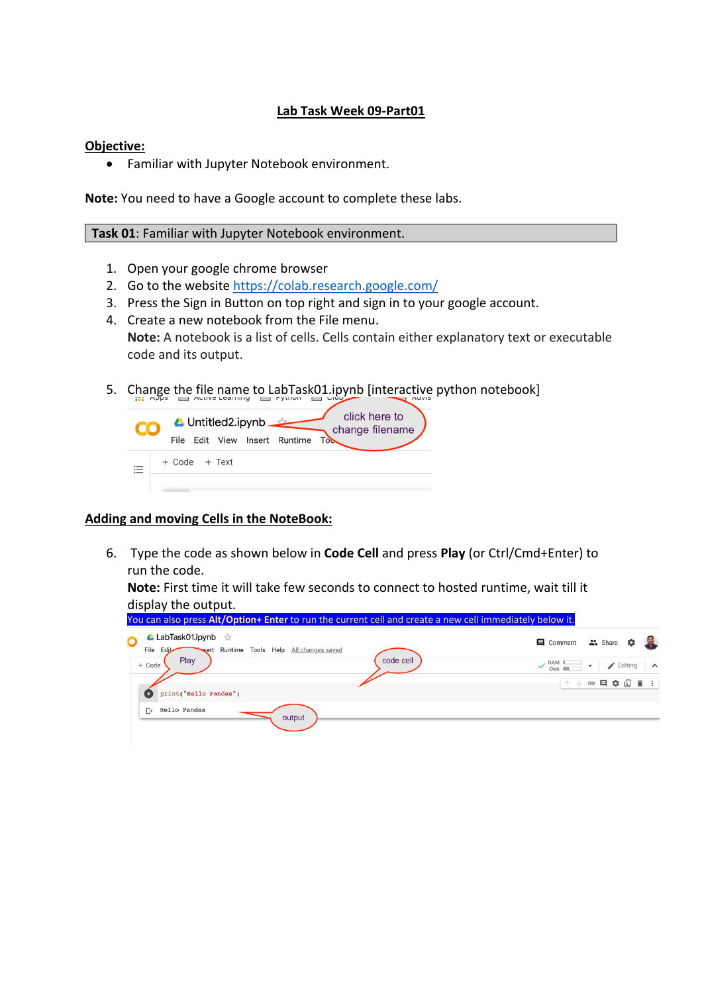## **Lab Task Week 09-Part01**

## **Objective:**

• Familiar with Jupyter Notebook environment.

**Note:** You need to have a Google account to complete these labs.

## **Task 01**: Familiar with Jupyter Notebook environment.

- 1. Open your google chrome browser
- 2. Go to the website https://colab.research.google.com/
- 3. Press the Sign in Button on top right and sign in to your google account.
- 4. Create a new notebook from the File menu. **Note:** A notebook is a list of cells. Cells contain either explanatory text or executable code and its output.
- 5. Change the file name to LabTask01.ipynb [interactive python notebook]

|  |                   | ▲ Untitled2.ipynb | File Edit View Insert Runtime | <b>Tob</b> | click here to<br>change filename |
|--|-------------------|-------------------|-------------------------------|------------|----------------------------------|
|  | $+$ Code $+$ Text |                   |                               |            |                                  |
|  |                   |                   |                               |            |                                  |

## **Adding and moving Cells in the NoteBook:**

6. Type the code as shown below in **Code Cell** and press **Play** (or Ctrl/Cmd+Enter) to run the code.

**Note:** First time it will take few seconds to connect to hosted runtime, wait till it display the output.

| You can also press Alt/Option+ Enter to run the current cell and create a new cell immediately below it. |                                                                                                                        |
|----------------------------------------------------------------------------------------------------------|------------------------------------------------------------------------------------------------------------------------|
| <b>A</b> LabTask01.ipynb $\forall$<br>O<br>sert Runtime Tools Help All changes saved<br>Edit<br>File     | 目 Comment 品 Share 章 堂                                                                                                  |
| Play<br>code cell<br>+ Code<br>print("Hello Pandas")                                                     | $\sqrt{\begin{array}{c}$ RAM $\Box$<br>$\blacktriangleright$ Editing<br>$\overline{\phantom{a}}$<br>$\hat{ }$<br>↑↓⊖目☆ |
| Hello Pandas<br>$\Gamma$<br>output                                                                       |                                                                                                                        |